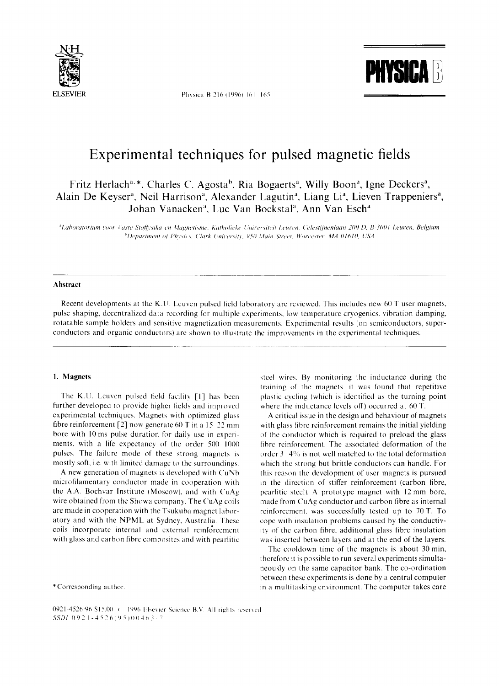

Physica B 216 (1996) 161-165



# Experimental techniques for pulsed magnetic fields

Fritz Herlach<sup>a, \*</sup>, Charles C. Agosta<sup>b</sup>, Ria Bogaerts<sup>a</sup>, Willy Boon<sup>a</sup>, Igne Deckers<sup>a</sup>, Alain De Keyser<sup>a</sup>, Neil Harrison<sup>a</sup>, Alexander Lagutin<sup>a</sup>, Liang Li<sup>a</sup>, Lieven Trappeniers<sup>a</sup>, Johan Vanacken<sup>a</sup>, Luc Van Bockstal<sup>a</sup>, Ann Van Esch<sup>a</sup>

<sup>a</sup>Laboratorium voor Vaste-Stoffysika en Magnetisme, Katholieke Universiteit Leuven. Celestijnenlaan 200 D, B-3001 Leuven, Belgium <sup>b</sup>Department of Physics, Clark University, 950 Main Street, Worcester, MA 01610, USA

## **Abstract**

Recent developments at the K.U. Leuven pulsed field laboratory are reviewed. This includes new 60 T user magnets, pulse shaping, decentralized data recording for multiple experiments, low temperature cryogenics, vibration damping, rotatable sample holders and sensitive magnetization measurements. Experimental results (on semiconductors, superconductors and organic conductors) are shown to illustrate the improvements in the experimental techniques.

# 1. Magnets

The K.U. Leuven pulsed field facility [1] has been further developed to provide higher fields and improved experimental techniques. Magnets with optimized glass fibre reinforcement [2] now generate 60 T in a 15 22 mm bore with 10 ms pulse duration for daily use in experiments, with a life expectancy of the order 500 1000 pulses. The failure mode of these strong magnets is mostly soft, i.e. with limited damage to the surroundings.

A new generation of magnets is developed with CuNb microfilamentary conductor made in cooperation with the A.A. Bochvar Institute (Moscow), and with CuAg wire obtained from the Showa company. The CuAg coils are made in cooperation with the Tsukuba magnet laboratory and with the NPML at Sydney, Australia. These coils incorporate internal and external reinforcement with glass and carbon fibre composites and with pearlitic

\*Corresponding author.

steel wires. By monitoring the inductance during the training of the magnets, it was found that repetitive plastic eveling (which is identified as the turning point where the inductance levels off) occurred at 60 T.

A critical issue in the design and behaviour of magnets with glass fibre reinforcement remains the initial yielding of the conductor which is required to preload the glass fibre reinforcement. The associated deformation of the order 3 4% is not well matched to the total deformation which the strong but brittle conductors can handle. For this reason the development of user magnets is pursued in the direction of stiffer reinforcement (carbon fibre, pearlitic steel). A prototype magnet with 12 mm bore, made from CuAg conductor and carbon fibre as internal reinforcement, was successfully tested up to 70 T. To cope with insulation problems caused by the conductivity of the carbon fibre, additional glass fibre insulation was inserted between layers and at the end of the layers.

The cooldown time of the magnets is about 30 min, therefore it is possible to run several experiments simultaneously on the same capacitor bank. The co-ordination between these experiments is done by a central computer in a multitasking environment. The computer takes care

0921-4526/96 \$15.00 + 1996 Elsevier Science B.V. All rights reserved  $SSDI$  0921-4526(95)00463-7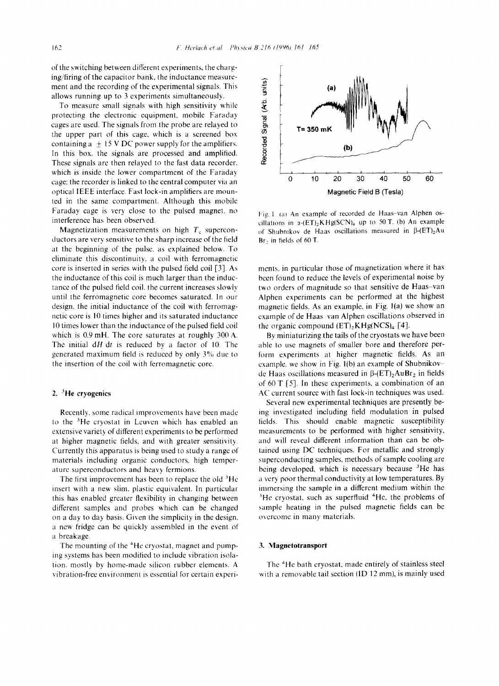of the switching between different experiments, the charging/firing of the capacitor bank, the inductance measurement and the recording of the experimental signals. This allows running up to 3 experiments simultaneously.

To measure small signals with high sensitivity while protecting the electronic equipment, mobile Faraday cages are used. The signals from the probe are relayed to the upper part of this cage, which is a screened box containing a  $\pm$  15 V DC power supply for the amplifiers. In this box. the signals are processed and amplified. These signals are then relayed to the fast data recorder, which is inside the lower compartment of the Faraday cage: the recorder is linked to the central computer via an optical IEEE interface. Fast lock-in amplifiers are mounted in the same compartment. Although this mobile Faraday cage is very close to the pulsed magnet, no interference has been observed.

Magnetization measurements on high  $T_c$  superconductors are very sensitive to the sharp increase of the field at the beginning of the pulse, as explained below. To eliminate this discontinuity, a coil with ferromagnetic core is inserted in series with the pulsed field coil [3]. As the inductance of this coil is much larger than the inductance of the pulsed field coil. the current increases slowly until the ferromagnetic core becomes saturated. In our design, the initial inductance of the coil with ferromagnetic core is 10 times higher and its saturated inductance 10 times lower than the inductance of the pulsed field coil which is 0.9 mH. The core saturates at roughly 300 A. The initial dH'dt is reduced by a factor of 10. The generated maximum field is reduced by only  $3\%$  due to the insertion of the coil with ferromagnetic core.

## 2.  ${}^{3}$ He cryogenics

Recently. some radical improvements have been made to the  $3$ He cryostat in Leuven which has enabled an extensive variety of different experiments to be performed at higher magnetic fields, and with greater sensitivity. Currently this apparatus is being used to study a range of materials including organic conductors, high temperature superconductors and heavy fermions.

The first improvement has been to replace the old  ${}^{3}$ He insert with a new slim, plastic equivalent. In particular this has enabled greater flexibility in changing between different samples and probes which can be changed on a day to day basis. Given the simplicity in the design, a new fridge can be quickly assembled in the event of a breakage.

The mounting of the <sup>4</sup>He cryostat, magnet and pumping systems has been modified to include vibration isolation, mostly by home-made silicon rubber elements. A vibration-free environment is essential for certain experi-



Fig. 1. (a) An example of recorded de Haas-van Alphen oscillations in  $\alpha$ -(ET)<sub>2</sub>KHg(SCN)<sub>4</sub> up to 50 T. (b) An example of Shubnikov de Haas oscillations measured in  $\beta$ -(ET)<sub>2</sub>Au Br, in fields of 60 T.

ments, in particular those of magnetization where it has been found to reduce the levels of experimental noise by two orders of magnitude so that sensitive de Haas-van Alphen experiments can be performed at the highest magnetic fields. As an example, in Fig. l(a) we show an example of de Haas van Alphen oscillations observed in the organic compound  $(ET)$ <sub>2</sub>KHg(NCS)<sub>4</sub> [4].

By miniaturizing the tails of the cryostats we have been able to use magnets of smaller bore and therefore perform experiments at higher magnetic fields. As an example, we show in Fig. l(b) an example of Shubnikovde Haas oscillations measured in  $\beta$ -(ET)<sub>2</sub>AuBr<sub>2</sub> in fields of 60 T [5]. In these experiments, a combination of an AC current source with fast lock-in techniques was used.

Several new experimental techniques are presently being investigated including field modulation in pulsed fields. This should enable magnetic susceptibility measurements to be performed with higher sensitivity, and will reveal different information than can be obtained using DC techniques. For metallic and strongly superconducting samples, methods of sample cooling are being developed, which is necessary because  ${}^{3}$ He has a very poor thermal conductivity at low temperatures. By immersing the sample in a different medium within the  $3$ He cryostat, such as superfluid  $4$ He, the problems of sample heating in the pulsed magnetic fields can be overcome in many materials.

#### **3. Magnetotransport**

The <sup>4</sup>He bath cryostat, made entirely of stainless steel with a removable tail section  $(ID 12 mm)$ , is mainly used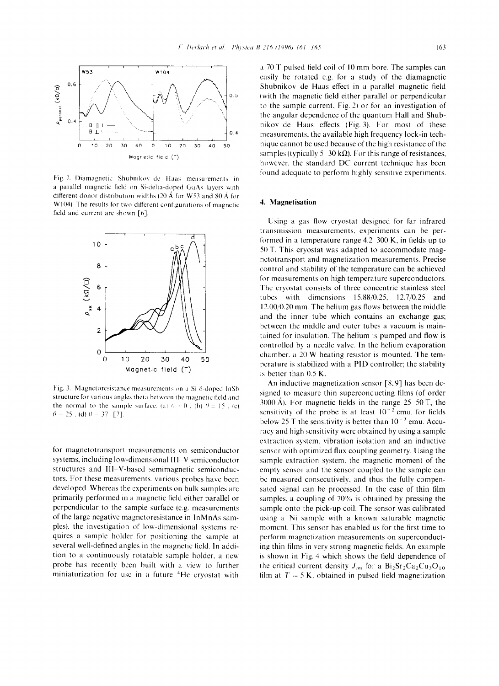

Fig. 2. Diamagnetic Shubnikov de Haas measurements in a parallel magnetic field on Si-delta-doped GaAs layers with different donor distribution widths (20 Å for W53 and 80 Å for W104). The results for two different configurations of magnetic field and current are shown [6].



Fig. 3. Magnetoresistance measurements on a Si- $\delta$ -doped InSb structure for various angles theta between the magnetic field and the normal to the sample surface: (a)  $\theta = 0$ , (b)  $\theta = 15$ , (c)  $\theta = 25$ , (d)  $\theta = 37$  [7].

for magnetotransport measurements on semiconductor systems, including low-dimensional III-V semiconductor structures and III-V-based semimagnetic semiconductors. For these measurements, various probes have been developed. Whereas the experiments on bulk samples are primarily performed in a magnetic field either parallel or perpendicular to the sample surface (e.g. measurements of the large negative magnetoresistance in InMnAs samples), the investigation of low-dimensional systems requires a sample holder for positioning the sample at several well-defined angles in the magnetic field. In addition to a continuously rotatable sample holder, a new probe has recently been built with a view to further miniaturization for use in a future <sup>4</sup>He cryostat with a 70 T pulsed field coil of 10 mm bore. The samples can easily be rotated e.g. for a study of the diamagnetic Shubnikov de Haas effect in a parallel magnetic field (with the magnetic field either parallel or perpendicular to the sample current, Fig. 2) or for an investigation of the angular dependence of the quantum Hall and Shubnikov de Haas effects (Fig. 3). For most of these measurements, the available high frequency lock-in technique cannot be used because of the high resistance of the samples (typically 5–30 k $\Omega$ ). For this range of resistances, however, the standard DC current technique has been found adequate to perform highly sensitive experiments.

# 4. Magnetisation

Using a gas flow cryostat designed for far infrared transmission measurements, experiments can be performed in a temperature range  $4.2$  300 K, in fields up to 50 T. This cryostat was adapted to accommodate magnetotransport and magnetization measurements. Precise control and stability of the temperature can be achieved for measurements on high temperature superconductors. The cryostat consists of three concentric stainless steel tubes with dimensions  $15.88/0.25$ ,  $12.7/0.25$  and  $12.00/0.20$  mm. The helium gas flows between the middle and the inner tube which contains an exchange gas; between the middle and outer tubes a vacuum is maintained for insulation. The helium is pumped and flow is controlled by a needle valve. In the helium evaporation chamber, a 20 W heating resistor is mounted. The temperature is stabilized with a PID controller, the stability is better than  $0.5$  K.

An inductive magnetization sensor  $[8, 9]$  has been designed to measure thin superconducting films (of order  $3000 \text{ Å}$ ). For magnetic fields in the range 25 50 T, the sensitivity of the probe is at least  $10^{-2}$  emu, for fields below 25 T the sensitivity is better than  $10^{-3}$  emu. Accuracy and high sensitivity were obtained by using a sample extraction system, vibration isolation and an inductive sensor with optimized flux coupling geometry. Using the sample extraction system, the magnetic moment of the empty sensor and the sensor coupled to the sample can be measured consecutively, and thus the fully compensated signal can be processed. In the case of thin film samples, a coupling of 70% is obtained by pressing the sample onto the pick-up coil. The sensor was calibrated using a Ni sample with a known saturable magnetic moment. This sensor has enabled us for the first time to perform magnetization measurements on superconducting thin films in very strong magnetic fields. An example is shown in Fig. 4 which shows the field dependence of the critical current density  $J_{cm}$  for a  $Bi_2Sr_2Ca_2Cu_3O_{10}$ film at  $T = 5$  K, obtained in pulsed field magnetization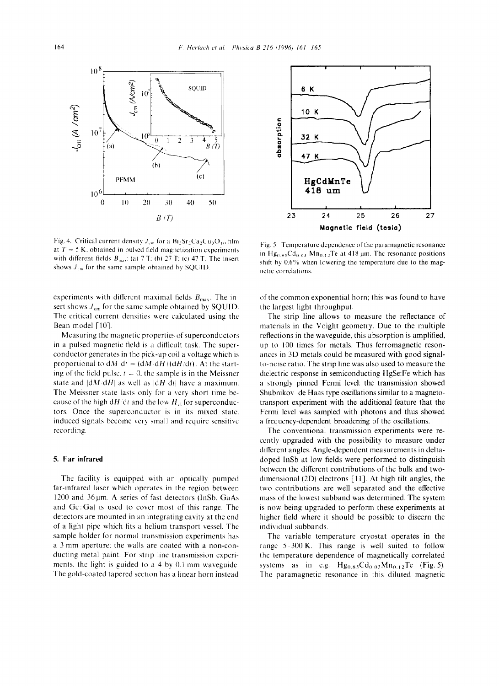

Fig. 4. Critical current density  $J_{cm}$  for a  $Bi_2Sr_2Ca_2Cu_3O_{10}$  film at  $T = 5$  K, obtained in pulsed field magnetization experiments with different fields  $B_{\text{max}}$ ; (a) 7 T; (b) 27 T; (c) 47 T. The insert shows  $J_{\rm cm}$  for the same sample obtained by SQUID.

experiments with different maximal fields  $B_{\text{max}}$ . The insert shows  $J_{cm}$  for the same sample obtained by SQUID. The critical current densities were calculated using the Bean model [10].

Measuring the magnetic properties of superconductors in a pulsed magnetic field is a difficult task. The superconductor generates in the pick-up coil a voltage which is proportional to  $dM dt = (dM dH)(dH/dt)$ . At the starting of the field pulse,  $t = 0$ , the sample is in the Meissner state and  $|dM dH|$  as well as  $|dH dt|$  have a maximum. The Meissner state lasts only for a very short time because of the high  $dH/dt$  and the low  $H_{el}$  for superconductors. Once the superconductor is in its mixed stalc. induced signals become very small and require sensitive recording.

## **5. Far infrared**

The facility is equipped with an optically pumped far-infrared laser which operates in the region between  $1200$  and  $36\,\mu$ m. A series of fast detectors (InSb, GaAs and Ge:Ga) is used to cover most of this range. The detectors are mounted in an integrating cavity at the end of a light pipe which fits a helium transport vessel. The sample holder for normal transmission experiments has a 3 mm aperture: the walls are coated with a non-conducting metal paint. For strip line transmission experiments, the light is guided to a 4 by 0.1 mm waveguidc. The gold-coated tapered section has a linear horn instead



Fig. 5. Temperature dependence of the paramagnetic resonance in  $Hg_{0.85}Cd_{0.03}$   $Mn_{0.12}Te$  at 418 µm. The resonance positions shift by  $0.6\%$  when lowering the temperature due to the magnetic correlations.

of the common exponential horn; this was found to have the largest light throughput.

The strip line allows to measure the reflectance of materials in the Voight geometry. Due to the multiple reflections in the waveguide, this absorption is amplified, up to 100 times for metals. Thus ferromagnetic resonances in 3D metals could be measured with good signalto-noise ratio. The strip line was also used to measure the dielectric response in semiconducting HgSe:Fe which has a strongly pinned Fermi level: the transmission showed Shubnikov de Haas type oscillations similar to a magnetotransport experiment with the additional feature that the Fermi level was sampled with photons and thus showed a frequency-dependent broadening of the oscillations.

The conventional transmission experiments were recently upgraded with the possibility to measure under different angles. Angle-dependent measurements in deltadoped InSb at low fields were performed to distinguish between the different contributions of the bulk and twodimensional (2D) electrons [1 I]. At high tilt angles, the two contributions are well separated and the effective mass of the lowest subband was determined. The system is now being upgraded to perform these experiments at higher tield where it should be possible to discern the individual subbands.

The variable temperature cryostat operates in the range  $5 - 300$  K. This range is well suited to follow thc temperature dependence of magnetically correlated systems as in e.g.  $Hg_{0.85}Cd_{0.03}Mn_{0.12}Te$  (Fig. 5). The paramagnetic resonance in this diluted magnetic